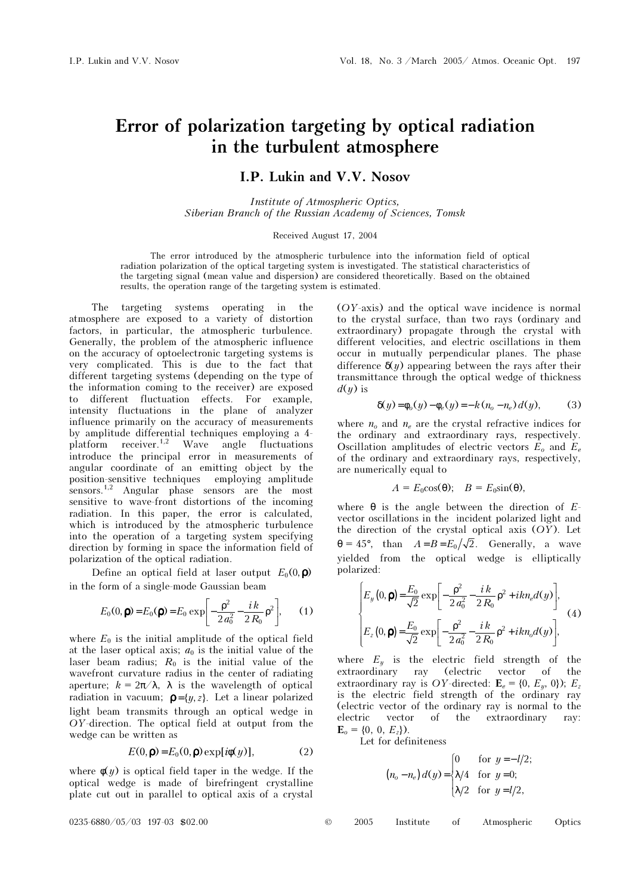## Error of polarization targeting by optical radiation in the turbulent atmosphere

## I.P. Lukin and V.V. Nosov

Institute of Atmospheric Optics, Siberian Branch of the Russian Academy of Sciences, Tomsk

## Received August 17, 2004

The error introduced by the atmospheric turbulence into the information field of optical radiation polarization of the optical targeting system is investigated. The statistical characteristics of the targeting signal (mean value and dispersion) are considered theoretically. Based on the obtained results, the operation range of the targeting system is estimated.

The targeting systems operating in the atmosphere are exposed to a variety of distortion factors, in particular, the atmospheric turbulence. Generally, the problem of the atmospheric influence on the accuracy of optoelectronic targeting systems is very complicated. This is due to the fact that different targeting systems (depending on the type of the information coming to the receiver) are exposed to different fluctuation effects. For example, intensity fluctuations in the plane of analyzer influence primarily on the accuracy of measurements by amplitude differential techniques employing a 4 platform receiver.1,2 Wave angle fluctuations introduce the principal error in measurements of angular coordinate of an emitting object by the position-sensitive techniques employing amplitude sensors.<sup>1,2</sup> Angular phase sensors are the most sensitive to wave-front distortions of the incoming radiation. In this paper, the error is calculated, which is introduced by the atmospheric turbulence into the operation of a targeting system specifying direction by forming in space the information field of polarization of the optical radiation.

Define an optical field at laser output  $E_0(0, \mathbf{p})$ in the form of a single-mode Gaussian beam

$$
E_0(0, \mathbf{p}) = E_0(\mathbf{p}) = E_0 \exp\left[-\frac{\rho^2}{2a_0^2} - \frac{i k}{2R_0} \rho^2\right],
$$
 (1)

where  $E_0$  is the initial amplitude of the optical field at the laser optical axis;  $a_0$  is the initial value of the laser beam radius;  $R_0$  is the initial value of the wavefront curvature radius in the center of radiating aperture;  $k = 2\pi/\lambda$ ,  $\lambda$  is the wavelength of optical radiation in vacuum;  $\mathbf{p} = \{y, z\}$ . Let a linear polarized light beam transmits through an optical wedge in OY-direction. The optical field at output from the wedge can be written as

$$
E(0, \mathbf{p}) = E_0(0, \mathbf{p}) \exp[i\phi(y)], \tag{2}
$$

where  $\phi(y)$  is optical field taper in the wedge. If the optical wedge is made of birefringent crystalline plate cut out in parallel to optical axis of a crystal (OY-axis) and the optical wave incidence is normal to the crystal surface, than two rays (ordinary and extraordinary) propagate through the crystal with different velocities, and electric oscillations in them occur in mutually perpendicular planes. The phase difference  $\delta(y)$  appearing between the rays after their transmittance through the optical wedge of thickness  $d(y)$  is

$$
\delta(y) = \phi_o(y) - \phi_e(y) = -k(n_o - n_e) d(y),
$$
 (3)

where  $n_0$  and  $n_e$  are the crystal refractive indices for the ordinary and extraordinary rays, respectively. Oscillation amplitudes of electric vectors  $E_o$  and  $E_e$ of the ordinary and extraordinary rays, respectively, are numerically equal to

$$
A = E_0 \cos(\theta); \quad B = E_0 \sin(\theta),
$$

where  $\theta$  is the angle between the direction of Evector oscillations in the incident polarized light and the direction of the crystal optical axis (OY). Let  $\theta = 45^{\circ}$ , than  $A = B = E_0 / \sqrt{2}$ . Generally, a wave yielded from the optical wedge is elliptically polarized:

$$
\begin{cases}\nE_y(0, \mathbf{p}) = \frac{E_0}{\sqrt{2}} \exp\left[-\frac{\rho^2}{2a_0^2} - \frac{i k}{2R_0} \rho^2 + i k n_e d(y)\right], \\
E_z(0, \mathbf{p}) = \frac{E_0}{\sqrt{2}} \exp\left[-\frac{\rho^2}{2a_0^2} - \frac{i k}{2R_0} \rho^2 + i k n_e d(y)\right],\n\end{cases} (4)
$$

where  $E_y$  is the electric field strength of the extraordinary ray (electric vector of the ray (electric vector of the extraordinary ray is OY-directed:  $\mathbf{E}_e = \{0, E_u, 0\}$ ;  $E_z$ is the electric field strength of the ordinary ray (electric vector of the ordinary ray is normal to the electric vector of the extraordinary ray:  $\mathbf{E}_o = \{0, 0, E_z\}.$ 

Let for definiteness

$$
(n_o - n_e) d(y) = \begin{cases} 0 & \text{for } y = -l/2; \\ \lambda/4 & \text{for } y = 0; \\ \lambda/2 & \text{for } y = l/2, \end{cases}
$$

 $0235-6880/05/03$  197-03 \$02.00 ©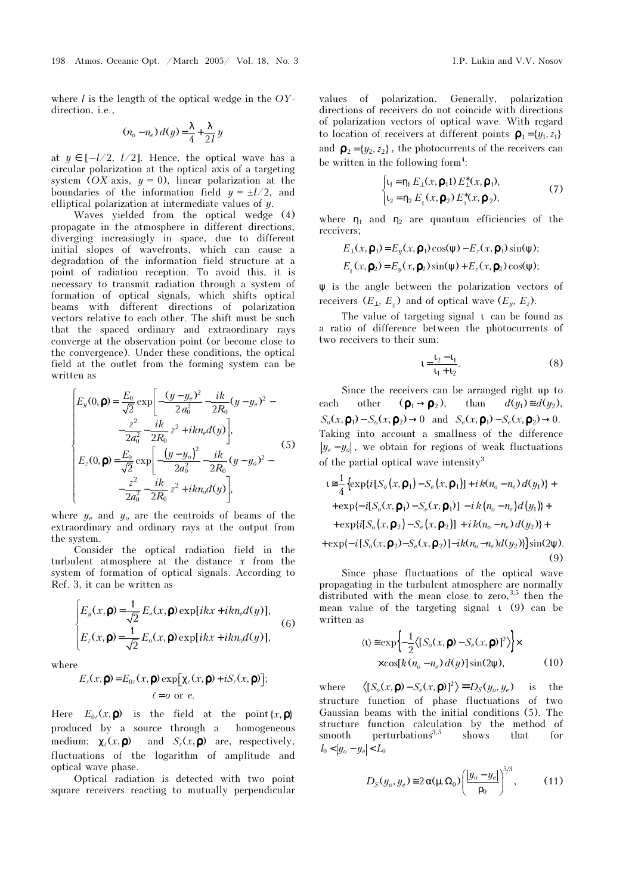where  $l$  is the length of the optical wedge in the  $OY$ direction, i.e.,

$$
(n_o - n_e) d(y) = \frac{\lambda}{4} + \frac{\lambda}{2l} y
$$

at  $y \in [-l/2, l/2]$ . Hence, the optical wave has a circular polarization at the optical axis of a targeting system (OX-axis,  $y = 0$ ), linear polarization at the boundaries of the information field  $y = \pm l/2$ , and elliptical polarization at intermediate values of y.

Waves yielded from the optical wedge (4) propagate in the atmosphere in different directions, diverging increasingly in space, due to different initial slopes of wavefronts, which can cause a degradation of the information field structure at a point of radiation reception. To avoid this, it is necessary to transmit radiation through a system of formation of optical signals, which shifts optical beams with different directions of polarization vectors relative to each other. The shift must be such that the spaced ordinary and extraordinary rays converge at the observation point (or become close to the convergence). Under these conditions, the optical field at the outlet from the forming system can be written as

$$
\begin{cases}\nE_y(0, \mathbf{p}) = \frac{E_0}{\sqrt{2}} \exp\left[-\frac{(y-y_e)^2}{2a_0^2} - \frac{ik}{2R_0}(y-y_e)^2 - \frac{z^2}{2a_0^2} - \frac{ik}{2R_0}z^2 + ikn_e d(y)\right], \\
E_z(0, \mathbf{p}) = \frac{E_0}{\sqrt{2}} \exp\left[-\frac{(y-y_o)^2}{2a_0^2} - \frac{ik}{2R_0}(y-y_o)^2 - \frac{z^2}{2a_0^2} - \frac{ik}{2R_0}z^2 + ikn_o d(y)\right],\n\end{cases} (5)
$$

where  $y_e$  and  $y_o$  are the centroids of beams of the extraordinary and ordinary rays at the output from the system.

Consider the optical radiation field in the turbulent atmosphere at the distance  $x$  from the system of formation of optical signals. According to Ref. 3, it can be written as

$$
\begin{cases}\nE_y(x,\mathbf{p}) = \frac{1}{\sqrt{2}} E_e(x,\mathbf{p}) \exp[i kx + i k n_e d(y)], \\
E_z(x,\mathbf{p}) = \frac{1}{\sqrt{2}} E_o(x,\mathbf{p}) \exp[i kx + i k n_e d(y)],\n\end{cases}
$$
\n(6)

where

$$
E_{\ell}(x, \mathbf{p}) = E_{0\ell}(x, \mathbf{p}) \exp[\chi_{\ell}(x, \mathbf{p}) + iS_{\ell}(x, \mathbf{p})];
$$
  

$$
\ell = 0 \text{ or } \ell.
$$

Here  $E_{0\ell}(x, \mathbf{p})$  is the field at the point  $\{x, \mathbf{p}\}\$ produced by a source through a homogeneous medium;  $\chi_{\ell}(x, \mathbf{p})$  and  $S_{\ell}(x, \mathbf{p})$  are, respectively, fluctuations of the logarithm of amplitude and optical wave phase.

Optical radiation is detected with two point square receivers reacting to mutually perpendicular values of polarization. Generally, polarization directions of receivers do not coincide with directions of polarization vectors of optical wave. With regard to location of receivers at different points  $\mathbf{p}_1 = \{y_1, z_1\}$ and  $\mathbf{p}_2 = \{y_2, z_2\}$ , the photocurrents of the receivers can be written in the following form<sup>4</sup>:

$$
\begin{cases} \n\mathbf{u}_1 = \mathbf{\eta}_1 \, E_{\perp}(x, \mathbf{\rho}_1) \, E_{\perp}^*(x, \mathbf{\rho}_1), \\ \n\mathbf{u}_2 = \mathbf{\eta}_2 \, E_{\parallel}(x, \mathbf{\rho}_2) \, E_{\parallel}^*(x, \mathbf{\rho}_2), \n\end{cases} \tag{7}
$$

where  $\eta_1$  and  $\eta_2$  are quantum efficiencies of the receivers;

$$
E_{\perp}(x, \mathbf{p}_1) = E_y(x, \mathbf{p}_1) \cos(\psi) - E_z(x, \mathbf{p}_1) \sin(\psi);
$$
  

$$
E_{\parallel}(x, \mathbf{p}_2) = E_y(x, \mathbf{p}_2) \sin(\psi) + E_z(x, \mathbf{p}_2) \cos(\psi);
$$

ψ is the angle between the polarization vectors of receivers  $(E_1, E_2)$  and of optical wave  $(E_u, E_z)$ .

The value of targeting signal ι can be found as a ratio of difference between the photocurrents of two receivers to their sum:

$$
t = \frac{t_2 - t_1}{t_1 + t_2}.
$$
 (8)

Since the receivers can be arranged right up to each other  $(\mathbf{p}_1 \rightarrow \mathbf{p}_2)$ , than  $d(y_1) \equiv d(y_2)$ ,  $S_o(x, \mathbf{p}_1) - S_o(x, \mathbf{p}_2) \rightarrow 0$  and  $S_e(x, \mathbf{p}_1) - S_e(x, \mathbf{p}_2) \rightarrow 0$ . Taking into account a smallness of the difference  $|y_e - y_o|$ , we obtain for regions of weak fluctuations of the partial optical wave intensity<sup>3</sup>

$$
t \approx \frac{1}{4} \left\{ \exp\{i[S_o(x, \mathbf{p}_1) - S_e(x, \mathbf{p}_1)] + i k(n_o - n_e) d(y_1) \} + \exp\{-i[S_o(x, \mathbf{p}_1) - S_e(x, \mathbf{p}_1)] - i k (n_o - n_e) d(y_1) \} + \exp\{i[S_o(x, \mathbf{p}_2) - S_e(x, \mathbf{p}_2)] + i k(n_o - n_e) d(y_2) \} + \exp\{-i[S_o(x, \mathbf{p}_2) - S_e(x, \mathbf{p}_2)] - ik(n_o - n_e) d(y_2) \} \sin(2\psi). \tag{9}
$$

 (9) Since phase fluctuations of the optical wave propagating in the turbulent atmosphere are normally distributed with the mean close to zero,  $3,5$  then the mean value of the targeting signal ι (9) can be written as

$$
\langle 1 \rangle \approx \exp \left\{ -\frac{1}{2} \langle [S_o(x, \mathbf{p}) - S_e(x, \mathbf{p})]^2 \rangle \right\} \times
$$
  
 
$$
\times \cos[k(n_o - n_e) d(y)] \sin(2\psi), \tag{10}
$$

where  $\langle [S_o(x, \mathbf{p}) - S_e(x, \mathbf{p})]^2 \rangle = D_S(y_o, y_e)$  is the structure function of phase fluctuations of two Gaussian beams with the initial conditions (5). The structure function calculation by the method of smooth perturbations<sup>3,5</sup> shows that for  $|l_0| < |y_o - y_e| < L_0$ 

$$
D_S(y_o, y_e) \approx 2 \alpha(\mu, \Omega_0) \left(\frac{|y_o - y_e|}{\rho_0}\right)^{5/3},\qquad (11)
$$